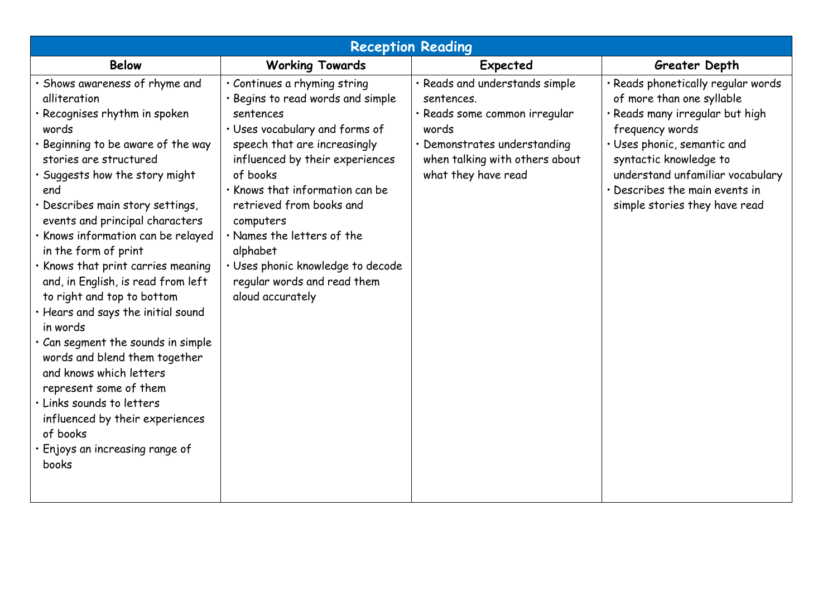| <b>Reception Reading</b>                                                                                                                                                                                                                                                                                                                                                                                                                                                                                                                                                                                                                                                                                                                               |                                                                                                                                                                                                                                                                                                                                                                                                               |                                                                                                                                                                                 |                                                                                                                                                                                                                                                                                       |  |  |  |
|--------------------------------------------------------------------------------------------------------------------------------------------------------------------------------------------------------------------------------------------------------------------------------------------------------------------------------------------------------------------------------------------------------------------------------------------------------------------------------------------------------------------------------------------------------------------------------------------------------------------------------------------------------------------------------------------------------------------------------------------------------|---------------------------------------------------------------------------------------------------------------------------------------------------------------------------------------------------------------------------------------------------------------------------------------------------------------------------------------------------------------------------------------------------------------|---------------------------------------------------------------------------------------------------------------------------------------------------------------------------------|---------------------------------------------------------------------------------------------------------------------------------------------------------------------------------------------------------------------------------------------------------------------------------------|--|--|--|
| <b>Below</b>                                                                                                                                                                                                                                                                                                                                                                                                                                                                                                                                                                                                                                                                                                                                           | <b>Working Towards</b>                                                                                                                                                                                                                                                                                                                                                                                        | Expected                                                                                                                                                                        | Greater Depth                                                                                                                                                                                                                                                                         |  |  |  |
| · Shows awareness of rhyme and<br>alliteration<br>· Recognises rhythm in spoken<br>words<br>· Beginning to be aware of the way<br>stories are structured<br>· Suggests how the story might<br>end<br>· Describes main story settings,<br>events and principal characters<br>· Knows information can be relayed<br>in the form of print<br>. Knows that print carries meaning<br>and, in English, is read from left<br>to right and top to bottom<br>· Hears and says the initial sound<br>in words<br>. Can segment the sounds in simple<br>words and blend them together<br>and knows which letters<br>represent some of them<br>· Links sounds to letters<br>influenced by their experiences<br>of books<br>· Enjoys an increasing range of<br>books | · Continues a rhyming string<br>· Begins to read words and simple<br>sentences<br>· Uses vocabulary and forms of<br>speech that are increasingly<br>influenced by their experiences<br>of books<br>. Knows that information can be<br>retrieved from books and<br>computers<br>· Names the letters of the<br>alphabet<br>· Uses phonic knowledge to decode<br>regular words and read them<br>aloud accurately | · Reads and understands simple<br>sentences.<br>· Reads some common irregular<br>words<br>· Demonstrates understanding<br>when talking with others about<br>what they have read | · Reads phonetically regular words<br>of more than one syllable<br>· Reads many irregular but high<br>frequency words<br>· Uses phonic, semantic and<br>syntactic knowledge to<br>understand unfamiliar vocabulary<br>· Describes the main events in<br>simple stories they have read |  |  |  |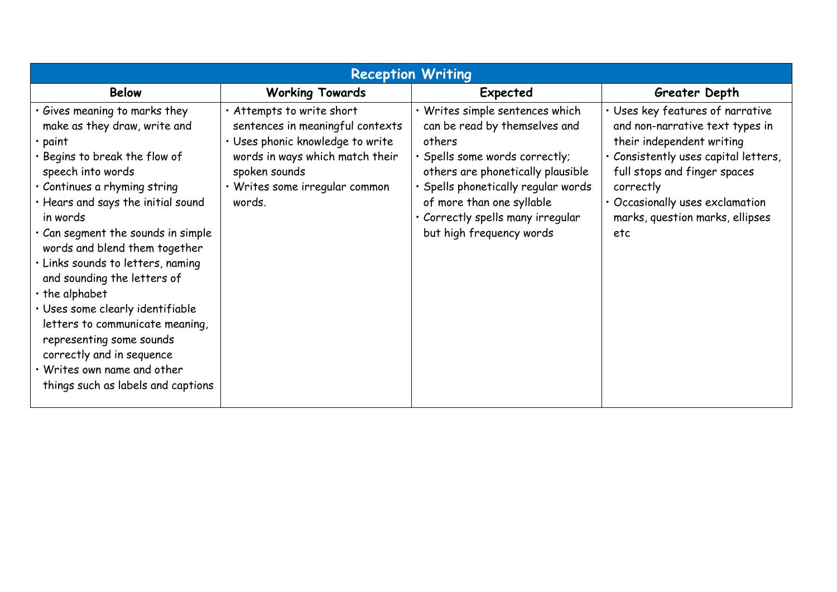| <b>Reception Writing</b>                                                                                                                                                                                                                                                                                                                                                                                                                                                                                                                                                                       |                                                                                                                                                                                                   |                                                                                                                                                                                                                                                                                  |                                                                                                                                                                                                                                                                    |  |  |  |  |
|------------------------------------------------------------------------------------------------------------------------------------------------------------------------------------------------------------------------------------------------------------------------------------------------------------------------------------------------------------------------------------------------------------------------------------------------------------------------------------------------------------------------------------------------------------------------------------------------|---------------------------------------------------------------------------------------------------------------------------------------------------------------------------------------------------|----------------------------------------------------------------------------------------------------------------------------------------------------------------------------------------------------------------------------------------------------------------------------------|--------------------------------------------------------------------------------------------------------------------------------------------------------------------------------------------------------------------------------------------------------------------|--|--|--|--|
| <b>Below</b>                                                                                                                                                                                                                                                                                                                                                                                                                                                                                                                                                                                   | <b>Working Towards</b>                                                                                                                                                                            | Expected                                                                                                                                                                                                                                                                         | Greater Depth                                                                                                                                                                                                                                                      |  |  |  |  |
| Gives meaning to marks they<br>make as they draw, write and<br>$\cdot$ paint<br>Begins to break the flow of<br>speech into words<br>· Continues a rhyming string<br>· Hears and says the initial sound<br>in words<br>Can segment the sounds in simple<br>words and blend them together<br>· Links sounds to letters, naming<br>and sounding the letters of<br>$\cdot$ the alphabet<br>· Uses some clearly identifiable<br>letters to communicate meaning,<br>representing some sounds<br>correctly and in sequence<br>$\cdot$ Writes own name and other<br>things such as labels and captions | · Attempts to write short<br>sentences in meaningful contexts<br>· Uses phonic knowledge to write<br>words in ways which match their<br>spoken sounds<br>· Writes some irregular common<br>words. | Writes simple sentences which<br>can be read by themselves and<br>others<br>· Spells some words correctly;<br>others are phonetically plausible<br>Spells phonetically regular words<br>of more than one syllable<br>Correctly spells many irregular<br>but high frequency words | · Uses key features of narrative<br>and non-narrative text types in<br>their independent writing<br>· Consistently uses capital letters,<br>full stops and finger spaces<br>correctly<br>· Occasionally uses exclamation<br>marks, question marks, ellipses<br>etc |  |  |  |  |